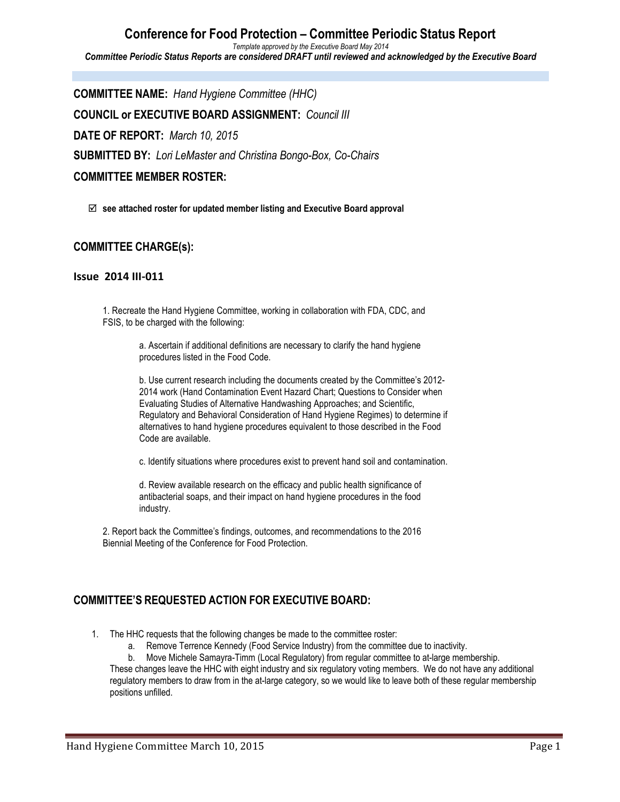#### **Conference for Food Protection – Committee Periodic Status Report** *Template approved by the Executive Board May 2014 Committee Periodic Status Reports are considered DRAFT until reviewed and acknowledged by the Executive Board*

**COMMITTEE NAME:** *Hand Hygiene Committee (HHC)* **COUNCIL or EXECUTIVE BOARD ASSIGNMENT:** *Council III* **DATE OF REPORT:** *March 10, 2015* **SUBMITTED BY:** *Lori LeMaster and Christina Bongo-Box, Co-Chairs* **COMMITTEE MEMBER ROSTER:**

þ **see attached roster for updated member listing and Executive Board approval**

### **COMMITTEE CHARGE(s):**

#### **Issue 2014 III-011**

1. Recreate the Hand Hygiene Committee, working in collaboration with FDA, CDC, and FSIS, to be charged with the following:

> a. Ascertain if additional definitions are necessary to clarify the hand hygiene procedures listed in the Food Code.

b. Use current research including the documents created by the Committee's 2012- 2014 work (Hand Contamination Event Hazard Chart; Questions to Consider when Evaluating Studies of Alternative Handwashing Approaches; and Scientific, Regulatory and Behavioral Consideration of Hand Hygiene Regimes) to determine if alternatives to hand hygiene procedures equivalent to those described in the Food Code are available.

c. Identify situations where procedures exist to prevent hand soil and contamination.

d. Review available research on the efficacy and public health significance of antibacterial soaps, and their impact on hand hygiene procedures in the food industry.

2. Report back the Committee's findings, outcomes, and recommendations to the 2016 Biennial Meeting of the Conference for Food Protection.

### **COMMITTEE'S REQUESTED ACTION FOR EXECUTIVE BOARD:**

- 1. The HHC requests that the following changes be made to the committee roster:
	- a. Remove Terrence Kennedy (Food Service Industry) from the committee due to inactivity.

b. Move Michele Samayra-Timm (Local Regulatory) from regular committee to at-large membership. These changes leave the HHC with eight industry and six regulatory voting members. We do not have any additional regulatory members to draw from in the at-large category, so we would like to leave both of these regular membership positions unfilled.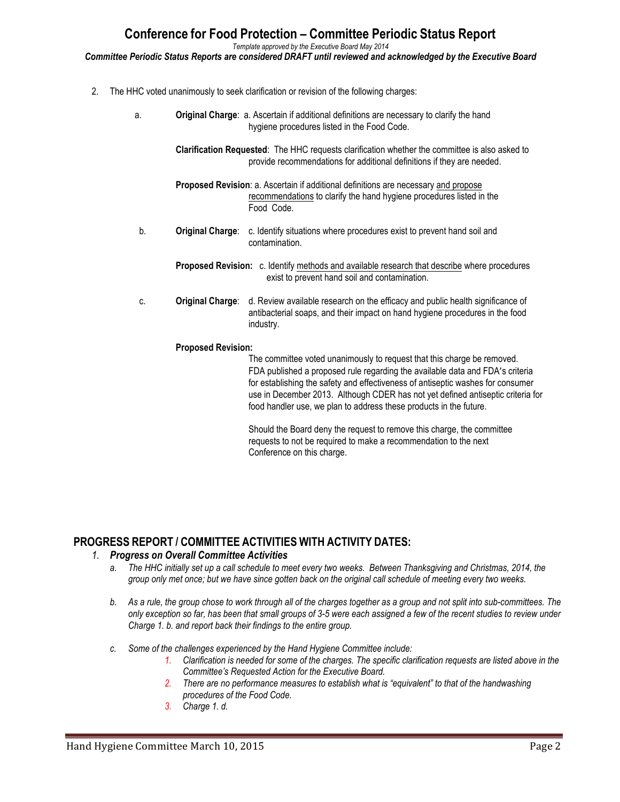## **Conference for Food Protection – Committee Periodic Status Report**

*Template approved by the Executive Board May 2014*

*Committee Periodic Status Reports are considered DRAFT until reviewed and acknowledged by the Executive Board*

- 2. The HHC voted unanimously to seek clarification or revision of the following charges:
	- a. **Original Charge**: a. Ascertain if additional definitions are necessary to clarify the hand hygiene procedures listed in the Food Code.

**Clarification Requested**: The HHC requests clarification whether the committee is also asked to provide recommendations for additional definitions if they are needed.

**Proposed Revision**: a. Ascertain if additional definitions are necessary and propose recommendations to clarify the hand hygiene procedures listed in the Food Code.

- b. **Original Charge**: c. Identify situations where procedures exist to prevent hand soil and contamination.
	- **Proposed Revision:** c. Identify methods and available research that describe where procedures exist to prevent hand soil and contamination.
- c. **Original Charge**: d. Review available research on the efficacy and public health significance of antibacterial soaps, and their impact on hand hygiene procedures in the food industry.

#### **Proposed Revision:**

The committee voted unanimously to request that this charge be removed. FDA published a proposed rule regarding the available data and FDA's criteria for establishing the safety and effectiveness of antiseptic washes for consumer use in December 2013. Although CDER has not yet defined antiseptic criteria for food handler use, we plan to address these products in the future.

Should the Board deny the request to remove this charge, the committee requests to not be required to make a recommendation to the next Conference on this charge.

### **PROGRESS REPORT / COMMITTEE ACTIVITIES WITH ACTIVITY DATES:**

#### *1. Progress on Overall Committee Activities*

- *a. The HHC initially set up a call schedule to meet every two weeks. Between Thanksgiving and Christmas, 2014, the group only met once; but we have since gotten back on the original call schedule of meeting every two weeks.*
- *b. As a rule, the group chose to work through all of the charges together as a group and not split into sub-committees. The only exception so far, has been that small groups of 3-5 were each assigned a few of the recent studies to review under Charge 1. b. and report back their findings to the entire group.*
- *c. Some of the challenges experienced by the Hand Hygiene Committee include:*
	- *1. Clarification is needed for some of the charges. The specific clarification requests are listed above in the Committee's Requested Action for the Executive Board.*
	- *2. There are no performance measures to establish what is "equivalent" to that of the handwashing procedures of the Food Code.*
	- *3. Charge 1. d.*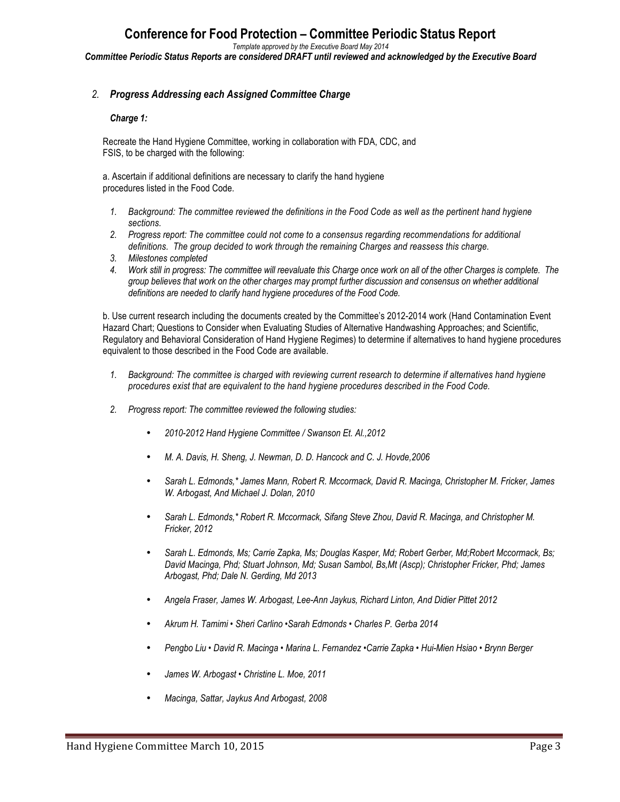# **Conference for Food Protection – Committee Periodic Status Report**

*Template approved by the Executive Board May 2014*

*Committee Periodic Status Reports are considered DRAFT until reviewed and acknowledged by the Executive Board*

#### *2. Progress Addressing each Assigned Committee Charge*

#### *Charge 1:*

Recreate the Hand Hygiene Committee, working in collaboration with FDA, CDC, and FSIS, to be charged with the following:

a. Ascertain if additional definitions are necessary to clarify the hand hygiene procedures listed in the Food Code.

- *1. Background: The committee reviewed the definitions in the Food Code as well as the pertinent hand hygiene sections.*
- *2. Progress report: The committee could not come to a consensus regarding recommendations for additional definitions. The group decided to work through the remaining Charges and reassess this charge.*
- *3. Milestones completed*
- *4. Work still in progress: The committee will reevaluate this Charge once work on all of the other Charges is complete. The group believes that work on the other charges may prompt further discussion and consensus on whether additional definitions are needed to clarify hand hygiene procedures of the Food Code.*

b. Use current research including the documents created by the Committee's 2012-2014 work (Hand Contamination Event Hazard Chart; Questions to Consider when Evaluating Studies of Alternative Handwashing Approaches; and Scientific, Regulatory and Behavioral Consideration of Hand Hygiene Regimes) to determine if alternatives to hand hygiene procedures equivalent to those described in the Food Code are available.

- *1. Background: The committee is charged with reviewing current research to determine if alternatives hand hygiene procedures exist that are equivalent to the hand hygiene procedures described in the Food Code.*
- *2. Progress report: The committee reviewed the following studies:*
	- *2010-2012 Hand Hygiene Committee / Swanson Et. Al.,2012*
	- *M. A. Davis, H. Sheng, J. Newman, D. D. Hancock and C. J. Hovde,2006*
	- *Sarah L. Edmonds,\* James Mann, Robert R. Mccormack, David R. Macinga, Christopher M. Fricker, James W. Arbogast, And Michael J. Dolan, 2010*
	- *Sarah L. Edmonds,\* Robert R. Mccormack, Sifang Steve Zhou, David R. Macinga, and Christopher M. Fricker, 2012*
	- *Sarah L. Edmonds, Ms; Carrie Zapka, Ms; Douglas Kasper, Md; Robert Gerber, Md;Robert Mccormack, Bs; David Macinga, Phd; Stuart Johnson, Md; Susan Sambol, Bs,Mt (Ascp); Christopher Fricker, Phd; James Arbogast, Phd; Dale N. Gerding, Md 2013*
	- *Angela Fraser, James W. Arbogast, Lee-Ann Jaykus, Richard Linton, And Didier Pittet 2012*
	- *Akrum H. Tamimi Sheri Carlino •Sarah Edmonds Charles P. Gerba 2014*
	- *Pengbo Liu David R. Macinga Marina L. Fernandez •Carrie Zapka Hui-Mien Hsiao Brynn Berger*
	- *James W. Arbogast Christine L. Moe, 2011*
	- *Macinga, Sattar, Jaykus And Arbogast, 2008*